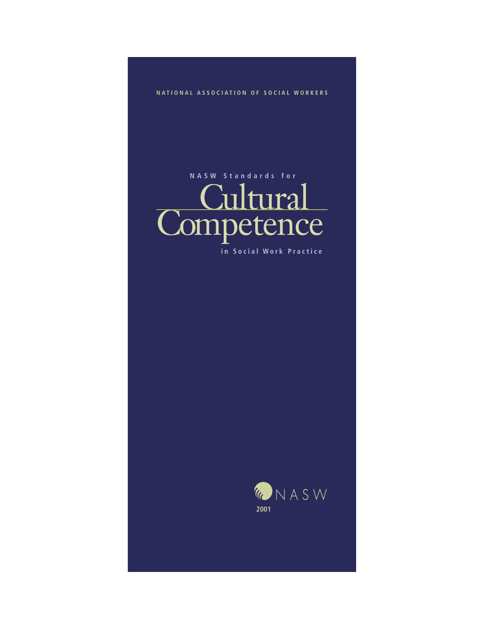**NATIONAL ASSOCIATION OF SOCIAL WORKERS**

# NASW Standards for ompetence

**in Social Work Practice**

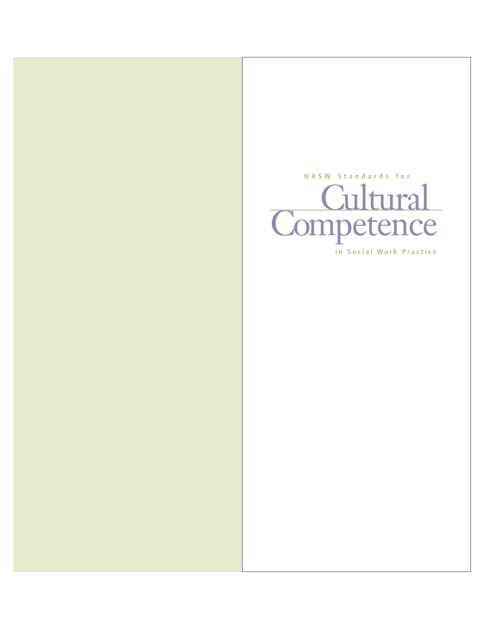

**in Social Work Practice**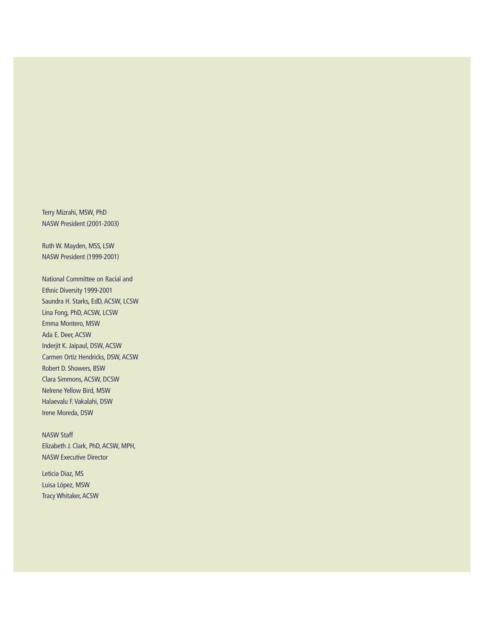Terry Mizrahi, MSW, PhD NASW President (2001-2003)

Ruth W. Mayden, MSS, LSW NASW President (1999-2001)

National Committee on Racial and Ethnic Diversity 1999-2001 Saundra H. Starks, EdD, ACSW, LCSW Lina Fong, PhD, ACSW, LCSW Emma Montero, MSW Ada E. Deer, ACSW Inderjit K. Jaipaul, DSW, ACSW Carmen Ortiz Hendricks, DSW, ACSW Robert D. Showers, BSW Clara Simmons, ACSW, DCSW Nelrene Yellow Bird, MSW Halaevalu F. Vakalahi, DSW Irene Moreda, DSW

NASW Staff Elizabeth J. Clark, PhD, ACSW, MPH, NASW Executive Director

Leticia Diaz, MS Luisa López, MSW Tracy Whitaker, ACSW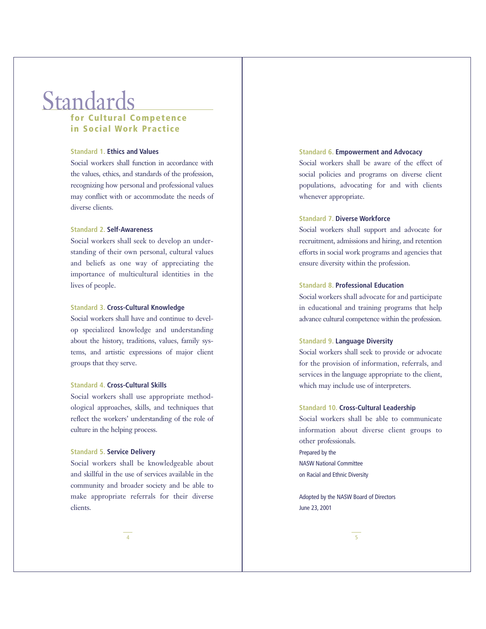# Standards

## **for Cultural Competence in Social Work Practice**

#### **Standard 1. Ethics and Values**

Social workers shall function in accordance with the values, ethics, and standards of the profession, recognizing how personal and professional values may conflict with or accommodate the needs of diverse clients.

#### **Standard 2. Self-Awareness**

Social workers shall seek to develop an understanding of their own personal, cultural values and beliefs as one way of appreciating the importance of multicultural identities in the lives of people.

#### **Standard 3. Cross-Cultural Knowledge**

Social workers shall have and continue to develop specialized knowledge and understanding about the history, traditions, values, family systems, and artistic expressions of major client groups that they serve.

#### **Standard 4. Cross-Cultural Skills**

Social workers shall use appropriate methodological approaches, skills, and techniques that reflect the workers' understanding of the role of culture in the helping process.

#### **Standard 5. Service Delivery**

Social workers shall be knowledgeable about and skillful in the use of services available in the community and broader society and be able to make appropriate referrals for their diverse clients.

#### **Standard 6. Empowerment and Advocacy**

Social workers shall be aware of the effect of social policies and programs on diverse client populations, advocating for and with clients whenever appropriate.

#### **Standard 7. Diverse Workforce**

Social workers shall support and advocate for recruitment, admissions and hiring, and retention efforts in social work programs and agencies that ensure diversity within the profession.

#### **Standard 8. Professional Education**

Social workers shall advocate for and participate in educational and training programs that help advance cultural competence within the profession.

#### **Standard 9. Language Diversity**

Social workers shall seek to provide or advocate for the provision of information, referrals, and services in the language appropriate to the client, which may include use of interpreters.

#### **Standard 10. Cross-Cultural Leadership**

Social workers shall be able to communicate information about diverse client groups to other professionals. Prepared by the NASW National Committee on Racial and Ethnic Diversity

Adopted by the NASW Board of Directors June 23, 2001

4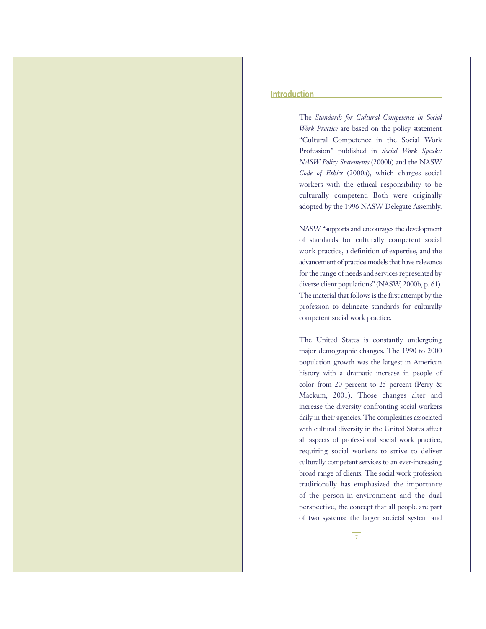#### **Introduction**

The *Standards for Cultural Competence in Social Work Practice* are based on the policy statement "Cultural Competence in the Social Work Profession" published in *Social Work Speaks: NASW Policy Statements* (2000b) and the NASW *Code of Ethics* (2000a), which charges social workers with the ethical responsibility to be culturally competent. Both were originally adopted by the 1996 NASW Delegate Assembly.

NASW "supports and encourages the development of standards for culturally competent social work practice, a definition of expertise, and the advancement of practice models that have relevance for the range of needs and services represented by diverse client populations" (NASW, 2000b, p. 61). The material that follows is the first attempt by the profession to delineate standards for culturally competent social work practice.

The United States is constantly undergoing major demographic changes. The 1990 to 2000 population growth was the largest in American history with a dramatic increase in people of color from 20 percent to 25 percent (Perry & Mackum, 2001). Those changes alter and increase the diversity confronting social workers daily in their agencies. The complexities associated with cultural diversity in the United States affect all aspects of professional social work practice, requiring social workers to strive to deliver culturally competent services to an ever-increasing broad range of clients. The social work profession traditionally has emphasized the importance of the person-in-environment and the dual perspective, the concept that all people are part of two systems: the larger societal system and

 $\overline{7}$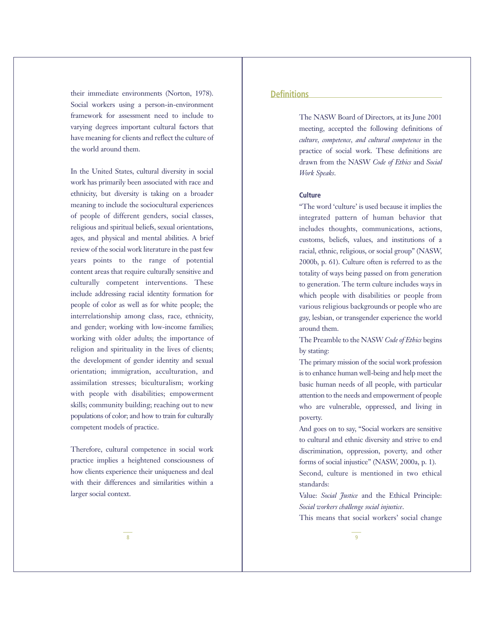their immediate environments (Norton, 1978). Social workers using a person-in-environment framework for assessment need to include to varying degrees important cultural factors that have meaning for clients and reflect the culture of the world around them.

In the United States, cultural diversity in social work has primarily been associated with race and ethnicity, but diversity is taking on a broader meaning to include the sociocultural experiences of people of different genders, social classes, religious and spiritual beliefs, sexual orientations, ages, and physical and mental abilities. A brief review of the social work literature in the past few years points to the range of potential content areas that require culturally sensitive and culturally competent interventions. These include addressing racial identity formation for people of color as well as for white people; the interrelationship among class, race, ethnicity, and gender; working with low-income families; working with older adults; the importance of religion and spirituality in the lives of clients; the development of gender identity and sexual orientation; immigration, acculturation, and assimilation stresses; biculturalism; working with people with disabilities; empowerment skills; community building; reaching out to new populations of color; and how to train for culturally competent models of practice.

Therefore, cultural competence in social work practice implies a heightened consciousness of how clients experience their uniqueness and deal with their differences and similarities within a larger social context.

#### **Definitions**

The NASW Board of Directors, at its June 2001 meeting, accepted the following definitions of *culture, competence, and cultural competence* in the practice of social work. These definitions are drawn from the NASW *Code of Ethics* and *Social Work Speaks*.

#### **Culture**

"The word 'culture' is used because it implies the integrated pattern of human behavior that includes thoughts, communications, actions, customs, beliefs, values, and institutions of a racial, ethnic, religious, or social group" (NASW, 2000b, p. 61). Culture often is referred to as the totality of ways being passed on from generation to generation. The term culture includes ways in which people with disabilities or people from various religious backgrounds or people who are gay, lesbian, or transgender experience the world around them.

The Preamble to the NASW *Code of Ethics* begins by stating:

The primary mission of the social work profession is to enhance human well-being and help meet the basic human needs of all people, with particular attention to the needs and empowerment of people who are vulnerable, oppressed, and living in poverty.

And goes on to say, "Social workers are sensitive to cultural and ethnic diversity and strive to end discrimination, oppression, poverty, and other forms of social injustice" (NASW, 2000a, p. 1).

Second, culture is mentioned in two ethical standards:

Value: *Social Justice* and the Ethical Principle: *Social workers challenge social injustice*.

This means that social workers' social change

8 and 2012 and 2012 and 2012 and 2012 and 2012 and 2012 and 2012 and 2012 and 2012 and 2012 and 2012 and 2012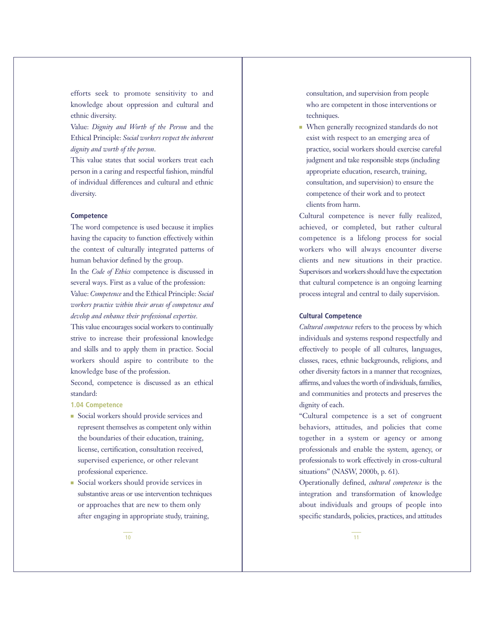efforts seek to promote sensitivity to and knowledge about oppression and cultural and ethnic diversity.

Value: *Dignity and Worth of the Person* and the Ethical Principle: *Social workers respect the inherent dignity and worth of the person*.

This value states that social workers treat each person in a caring and respectful fashion, mindful of individual differences and cultural and ethnic diversity.

#### **Competence**

The word competence is used because it implies having the capacity to function effectively within the context of culturally integrated patterns of human behavior defined by the group.

In the *Code of Ethics* competence is discussed in several ways. First as a value of the profession: Value: *Competence* and the Ethical Principle: *Social workers practice within their areas of competence and develop and enhance their professional expertise.*

This value encourages social workers to continually strive to increase their professional knowledge and skills and to apply them in practice. Social workers should aspire to contribute to the knowledge base of the profession.

Second, competence is discussed as an ethical standard:

#### **1.04 Competence**

- Social workers should provide services and represent themselves as competent only within the boundaries of their education, training, license, certification, consultation received, supervised experience, or other relevant professional experience.
- Social workers should provide services in substantive areas or use intervention techniques or approaches that are new to them only after engaging in appropriate study, training,

consultation, and supervision from people who are competent in those interventions or techniques.

- When generally recognized standards do not exist with respect to an emerging area of practice, social workers should exercise careful judgment and take responsible steps (including appropriate education, research, training, consultation, and supervision) to ensure the competence of their work and to protect clients from harm.

Cultural competence is never fully realized, achieved, or completed, but rather cultural competence is a lifelong process for social workers who will always encounter diverse clients and new situations in their practice. Supervisors and workers should have the expectation that cultural competence is an ongoing learning process integral and central to daily supervision.

#### **Cultural Competence**

*Cultural competence* refers to the process by which individuals and systems respond respectfully and effectively to people of all cultures, languages, classes, races, ethnic backgrounds, religions, and other diversity factors in a manner that recognizes, affirms, and values the worth of individuals, families, and communities and protects and preserves the dignity of each.

"Cultural competence is a set of congruent behaviors, attitudes, and policies that come together in a system or agency or among professionals and enable the system, agency, or professionals to work effectively in cross-cultural situations" (NASW, 2000b, p. 61).

Operationally defined, *cultural competence* is the integration and transformation of knowledge about individuals and groups of people into specific standards, policies, practices, and attitudes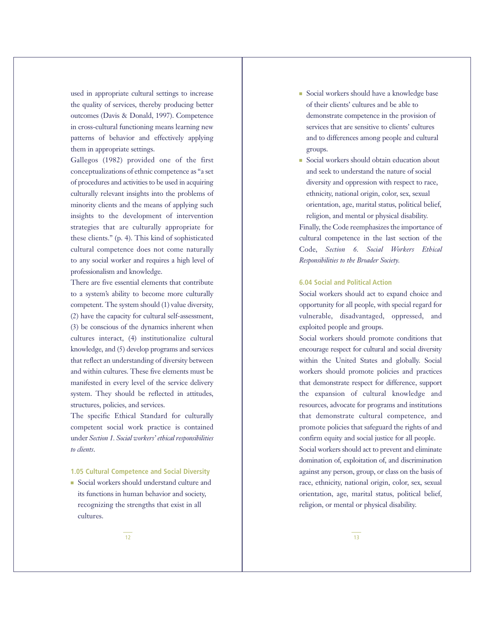used in appropriate cultural settings to increase the quality of services, thereby producing better outcomes (Davis & Donald, 1997). Competence in cross-cultural functioning means learning new patterns of behavior and effectively applying them in appropriate settings.

Gallegos (1982) provided one of the first conceptualizations of ethnic competence as "a set of procedures and activities to be used in acquiring culturally relevant insights into the problems of minority clients and the means of applying such insights to the development of intervention strategies that are culturally appropriate for these clients." (p. 4). This kind of sophisticated cultural competence does not come naturally to any social worker and requires a high level of professionalism and knowledge.

There are five essential elements that contribute to a system's ability to become more culturally competent. The system should (1) value diversity, (2) have the capacity for cultural self-assessment, (3) be conscious of the dynamics inherent when cultures interact, (4) institutionalize cultural knowledge, and (5) develop programs and services that reflect an understanding of diversity between and within cultures. These five elements must be manifested in every level of the service delivery system. They should be reflected in attitudes, structures, policies, and services.

The specific Ethical Standard for culturally competent social work practice is contained under *Section 1. Social workers' ethical responsibilities to clients*.

**1.05 Cultural Competence and Social Diversity**

- Social workers should understand culture and its functions in human behavior and society, recognizing the strengths that exist in all cultures.

- Social workers should have a knowledge base of their clients' cultures and be able to demonstrate competence in the provision of services that are sensitive to clients' cultures and to differences among people and cultural groups.
- Social workers should obtain education about and seek to understand the nature of social diversity and oppression with respect to race, ethnicity, national origin, color, sex, sexual orientation, age, marital status, political belief, religion, and mental or physical disability.

Finally, the Code reemphasizes the importance of cultural competence in the last section of the Code, *Section 6. Social Workers Ethical Responsibilities to the Broader Society.*

#### **6.04 Social and Political Action**

Social workers should act to expand choice and opportunity for all people, with special regard for vulnerable, disadvantaged, oppressed, and exploited people and groups.

Social workers should promote conditions that encourage respect for cultural and social diversity within the United States and globally. Social workers should promote policies and practices that demonstrate respect for difference, support the expansion of cultural knowledge and resources, advocate for programs and institutions that demonstrate cultural competence, and promote policies that safeguard the rights of and confirm equity and social justice for all people. Social workers should act to prevent and eliminate domination of, exploitation of, and discrimination against any person, group, or class on the basis of race, ethnicity, national origin, color, sex, sexual orientation, age, marital status, political belief, religion, or mental or physical disability.

 $12$  and  $13$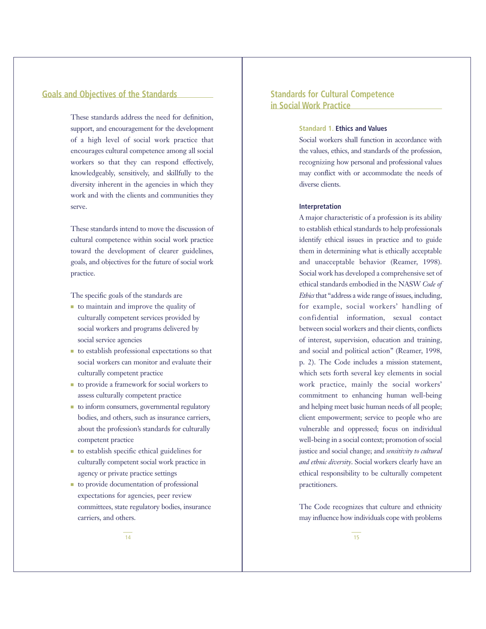#### **Goals and Objectives of the Standards**

These standards address the need for definition, support, and encouragement for the development of a high level of social work practice that encourages cultural competence among all social workers so that they can respond effectively, knowledgeably, sensitively, and skillfully to the diversity inherent in the agencies in which they work and with the clients and communities they serve.

These standards intend to move the discussion of cultural competence within social work practice toward the development of clearer guidelines, goals, and objectives for the future of social work practice.

The specific goals of the standards are

- to maintain and improve the quality of culturally competent services provided by social workers and programs delivered by social service agencies
- **to establish professional expectations so that** social workers can monitor and evaluate their culturally competent practice
- to provide a framework for social workers to assess culturally competent practice
- to inform consumers, governmental regulatory bodies, and others, such as insurance carriers, about the profession's standards for culturally competent practice
- to establish specific ethical guidelines for culturally competent social work practice in agency or private practice settings
- to provide documentation of professional expectations for agencies, peer review committees, state regulatory bodies, insurance carriers, and others.

### **Standards for Cultural Competence in Social Work Practice**

#### **Standard 1. Ethics and Values**

Social workers shall function in accordance with the values, ethics, and standards of the profession, recognizing how personal and professional values may conflict with or accommodate the needs of diverse clients.

#### **Interpretation**

A major characteristic of a profession is its ability to establish ethical standards to help professionals identify ethical issues in practice and to guide them in determining what is ethically acceptable and unacceptable behavior (Reamer, 1998). Social work has developed a comprehensive set of ethical standards embodied in the NASW *Code of Ethics*that "address a wide range of issues, including, for example, social workers' handling of confidential information, sexual contact between social workers and their clients, conflicts of interest, supervision, education and training, and social and political action" (Reamer, 1998, p. 2). The Code includes a mission statement, which sets forth several key elements in social work practice, mainly the social workers' commitment to enhancing human well-being and helping meet basic human needs of all people; client empowerment; service to people who are vulnerable and oppressed; focus on individual well-being in a social context; promotion of social justice and social change; and *sensitivity to cultural and ethnic diversity*. Social workers clearly have an ethical responsibility to be culturally competent practitioners.

The Code recognizes that culture and ethnicity may influence how individuals cope with problems

 $14$  and  $15$  and  $15$  and  $15$  and  $15$  and  $15$  and  $15$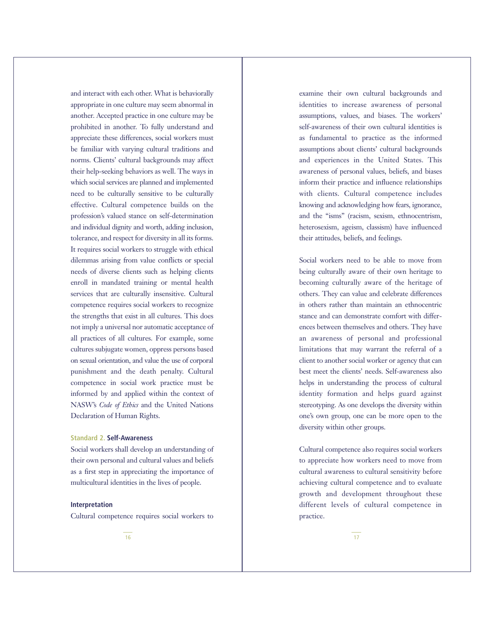and interact with each other. What is behaviorally appropriate in one culture may seem abnormal in another. Accepted practice in one culture may be prohibited in another. To fully understand and appreciate these differences, social workers must be familiar with varying cultural traditions and norms. Clients' cultural backgrounds may affect their help-seeking behaviors as well. The ways in which social services are planned and implemented need to be culturally sensitive to be culturally effective. Cultural competence builds on the profession's valued stance on self-determination and individual dignity and worth, adding inclusion, tolerance, and respect for diversity in all its forms. It requires social workers to struggle with ethical dilemmas arising from value conflicts or special needs of diverse clients such as helping clients enroll in mandated training or mental health services that are culturally insensitive. Cultural competence requires social workers to recognize the strengths that exist in all cultures. This does not imply a universal nor automatic acceptance of all practices of all cultures. For example, some cultures subjugate women, oppress persons based on sexual orientation, and value the use of corporal punishment and the death penalty. Cultural competence in social work practice must be informed by and applied within the context of NASW's *Code of Ethics* and the United Nations Declaration of Human Rights.

#### **Standard 2. Self-Awareness**

Social workers shall develop an understanding of their own personal and cultural values and beliefs as a first step in appreciating the importance of multicultural identities in the lives of people.

#### **Interpretation**

Cultural competence requires social workers to

examine their own cultural backgrounds and identities to increase awareness of personal assumptions, values, and biases. The workers' self-awareness of their own cultural identities is as fundamental to practice as the informed assumptions about clients' cultural backgrounds and experiences in the United States. This awareness of personal values, beliefs, and biases inform their practice and influence relationships with clients. Cultural competence includes knowing and acknowledging how fears, ignorance, and the "isms" (racism, sexism, ethnocentrism, heterosexism, ageism, classism) have influenced their attitudes, beliefs, and feelings.

Social workers need to be able to move from being culturally aware of their own heritage to becoming culturally aware of the heritage of others. They can value and celebrate differences in others rather than maintain an ethnocentric stance and can demonstrate comfort with differences between themselves and others. They have an awareness of personal and professional limitations that may warrant the referral of a client to another social worker or agency that can best meet the clients' needs. Self-awareness also helps in understanding the process of cultural identity formation and helps guard against stereotyping. As one develops the diversity within one's own group, one can be more open to the diversity within other groups.

Cultural competence also requires social workers to appreciate how workers need to move from cultural awareness to cultural sensitivity before achieving cultural competence and to evaluate growth and development throughout these different levels of cultural competence in practice.

16  $\overline{\phantom{a}}$  17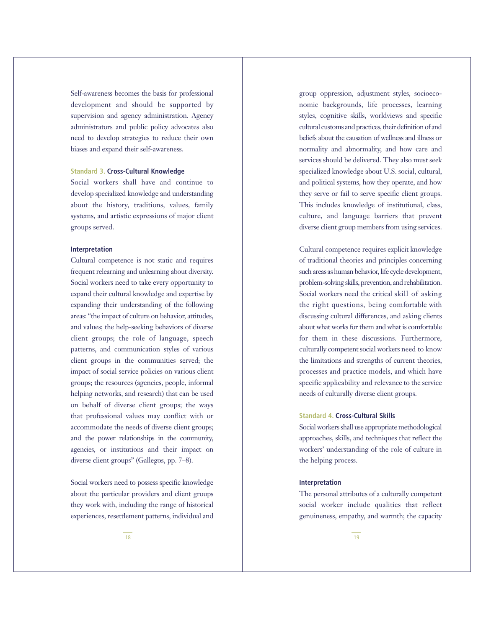Self-awareness becomes the basis for professional development and should be supported by supervision and agency administration. Agency administrators and public policy advocates also need to develop strategies to reduce their own biases and expand their self-awareness.

#### **Standard 3. Cross-Cultural Knowledge**

Social workers shall have and continue to develop specialized knowledge and understanding about the history, traditions, values, family systems, and artistic expressions of major client groups served.

#### **Interpretation**

Cultural competence is not static and requires frequent relearning and unlearning about diversity. Social workers need to take every opportunity to expand their cultural knowledge and expertise by expanding their understanding of the following areas: "the impact of culture on behavior, attitudes, and values; the help-seeking behaviors of diverse client groups; the role of language, speech patterns, and communication styles of various client groups in the communities served; the impact of social service policies on various client groups; the resources (agencies, people, informal helping networks, and research) that can be used on behalf of diverse client groups; the ways that professional values may conflict with or accommodate the needs of diverse client groups; and the power relationships in the community, agencies, or institutions and their impact on diverse client groups" (Gallegos, pp. 7–8).

Social workers need to possess specific knowledge about the particular providers and client groups they work with, including the range of historical experiences, resettlement patterns, individual and

group oppression, adjustment styles, socioeconomic backgrounds, life processes, learning styles, cognitive skills, worldviews and specific cultural customs and practices, their definition of and beliefs about the causation of wellness and illness or normality and abnormality, and how care and services should be delivered. They also must seek specialized knowledge about U.S. social, cultural, and political systems, how they operate, and how they serve or fail to serve specific client groups. This includes knowledge of institutional, class, culture, and language barriers that prevent diverse client group members from using services.

Cultural competence requires explicit knowledge of traditional theories and principles concerning such areas as human behavior, life cycle development, problem-solving skills, prevention, and rehabilitation. Social workers need the critical skill of asking the right questions, being comfortable with discussing cultural differences, and asking clients about what works for them and what is comfortable for them in these discussions. Furthermore, culturally competent social workers need to know the limitations and strengths of current theories, processes and practice models, and which have specific applicability and relevance to the service needs of culturally diverse client groups.

#### **Standard 4. Cross-Cultural Skills**

Social workers shall use appropriate methodological approaches, skills, and techniques that reflect the workers' understanding of the role of culture in the helping process.

#### **Interpretation**

The personal attributes of a culturally competent social worker include qualities that reflect genuineness, empathy, and warmth; the capacity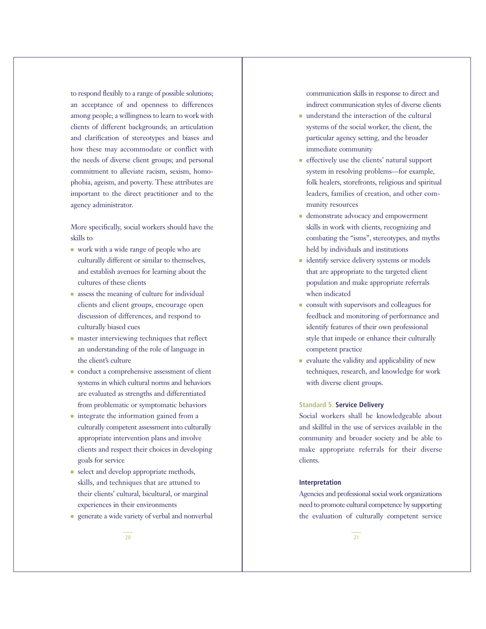to respond flexibly to a range of possible solutions; an acceptance of and openness to differences among people; a willingness to learn to work with clients of different backgrounds; an articulation and clarification of stereotypes and biases and how these may accommodate or conflict with the needs of diverse client groups; and personal commitment to alleviate racism, sexism, homophobia, ageism, and poverty. These attributes are important to the direct practitioner and to the agency administrator.

More specifically, social workers should have the skills to

- work with a wide range of people who are culturally different or similar to themselves, and establish avenues for learning about the cultures of these clients
- **Exercise** assess the meaning of culture for individual clients and client groups, encourage open discussion of differences, and respond to culturally biased cues
- **naster interviewing techniques that reflect** an understanding of the role of language in the client's culture
- **conduct a comprehensive assessment of client** systems in which cultural norms and behaviors are evaluated as strengths and differentiated from problematic or symptomatic behaviors
- integrate the information gained from a culturally competent assessment into culturally appropriate intervention plans and involve clients and respect their choices in developing goals for service
- **Exercise 1** select and develop appropriate methods, skills, and techniques that are attuned to their clients' cultural, bicultural, or marginal experiences in their environments
- **Example 3** a wide variety of verbal and nonverbal

communication skills in response to direct and indirect communication styles of diverse clients

- understand the interaction of the cultural systems of the social worker, the client, the particular agency setting, and the broader immediate community
- effectively use the clients' natural support system in resolving problems—for example, folk healers, storefronts, religious and spiritual leaders, families of creation, and other community resources
- demonstrate advocacy and empowerment skills in work with clients, recognizing and combating the "isms", stereotypes, and myths held by individuals and institutions
- identify service delivery systems or models that are appropriate to the targeted client population and make appropriate referrals when indicated
- consult with supervisors and colleagues for feedback and monitoring of performance and identify features of their own professional style that impede or enhance their culturally competent practice
- evaluate the validity and applicability of new techniques, research, and knowledge for work with diverse client groups.

#### **Standard 5. Service Delivery**

Social workers shall be knowledgeable about and skillful in the use of services available in the community and broader society and be able to make appropriate referrals for their diverse clients.

#### **Interpretation**

Agencies and professional social work organizations need to promote cultural competence by supporting the evaluation of culturally competent service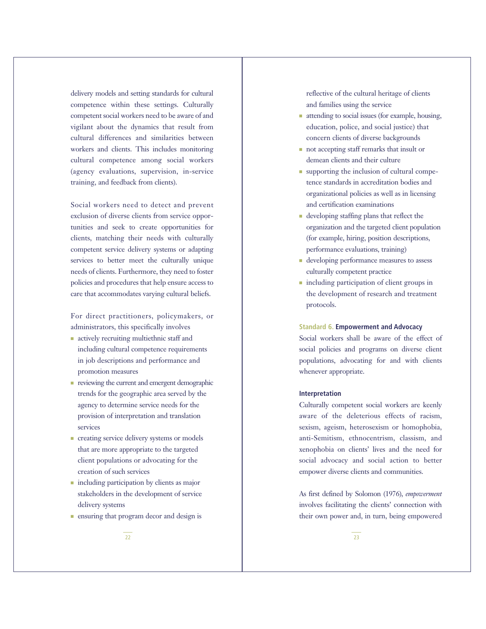delivery models and setting standards for cultural competence within these settings. Culturally competent social workers need to be aware of and vigilant about the dynamics that result from cultural differences and similarities between workers and clients. This includes monitoring cultural competence among social workers (agency evaluations, supervision, in-service training, and feedback from clients).

Social workers need to detect and prevent exclusion of diverse clients from service opportunities and seek to create opportunities for clients, matching their needs with culturally competent service delivery systems or adapting services to better meet the culturally unique needs of clients. Furthermore, they need to foster policies and procedures that help ensure access to care that accommodates varying cultural beliefs.

For direct practitioners, policymakers, or administrators, this specifically involves

- **actively recruiting multiethnic staff and** including cultural competence requirements in job descriptions and performance and promotion measures
- **Exercise 1** reviewing the current and emergent demographic trends for the geographic area served by the agency to determine service needs for the provision of interpretation and translation services
- **Exercise** creating service delivery systems or models that are more appropriate to the targeted client populations or advocating for the creation of such services
- **n** including participation by clients as major stakeholders in the development of service delivery systems
- ensuring that program decor and design is

reflective of the cultural heritage of clients and families using the service

- attending to social issues (for example, housing, education, police, and social justice) that concern clients of diverse backgrounds
- not accepting staff remarks that insult or demean clients and their culture
- supporting the inclusion of cultural competence standards in accreditation bodies and organizational policies as well as in licensing and certification examinations
- developing staffing plans that reflect the organization and the targeted client population (for example, hiring, position descriptions, performance evaluations, training)
- developing performance measures to assess culturally competent practice
- including participation of client groups in the development of research and treatment protocols.

#### **Standard 6. Empowerment and Advocacy**

Social workers shall be aware of the effect of social policies and programs on diverse client populations, advocating for and with clients whenever appropriate.

#### **Interpretation**

Culturally competent social workers are keenly aware of the deleterious effects of racism, sexism, ageism, heterosexism or homophobia, anti-Semitism, ethnocentrism, classism, and xenophobia on clients' lives and the need for social advocacy and social action to better empower diverse clients and communities.

As first defined by Solomon (1976), *empowerment* involves facilitating the clients' connection with their own power and, in turn, being empowered

22  $\sim$  23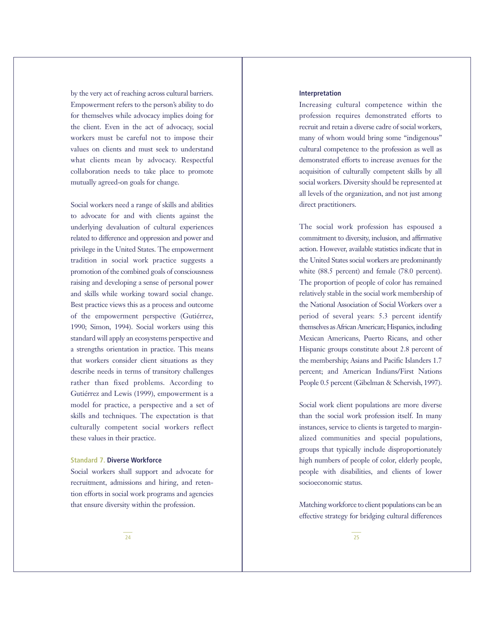by the very act of reaching across cultural barriers. Empowerment refers to the person's ability to do for themselves while advocacy implies doing for the client. Even in the act of advocacy, social workers must be careful not to impose their values on clients and must seek to understand what clients mean by advocacy. Respectful collaboration needs to take place to promote mutually agreed-on goals for change.

Social workers need a range of skills and abilities to advocate for and with clients against the underlying devaluation of cultural experiences related to difference and oppression and power and privilege in the United States. The empowerment tradition in social work practice suggests a promotion of the combined goals of consciousness raising and developing a sense of personal power and skills while working toward social change. Best practice views this as a process and outcome of the empowerment perspective (Gutiérrez, 1990; Simon, 1994). Social workers using this standard will apply an ecosystems perspective and a strengths orientation in practice. This means that workers consider client situations as they describe needs in terms of transitory challenges rather than fixed problems. According to Gutiérrez and Lewis (1999), empowerment is a model for practice, a perspective and a set of skills and techniques. The expectation is that culturally competent social workers reflect these values in their practice.

#### **Standard 7. Diverse Workforce**

Social workers shall support and advocate for recruitment, admissions and hiring, and retention efforts in social work programs and agencies that ensure diversity within the profession.

#### **Interpretation**

Increasing cultural competence within the profession requires demonstrated efforts to recruit and retain a diverse cadre of social workers, many of whom would bring some "indigenous" cultural competence to the profession as well as demonstrated efforts to increase avenues for the acquisition of culturally competent skills by all social workers. Diversity should be represented at all levels of the organization, and not just among direct practitioners.

The social work profession has espoused a commitment to diversity, inclusion, and affirmative action. However, available statistics indicate that in the United States social workers are predominantly white (88.5 percent) and female (78.0 percent). The proportion of people of color has remained relatively stable in the social work membership of the National Association of Social Workers over a period of several years: 5.3 percent identify themselves as African American; Hispanics, including Mexican Americans, Puerto Ricans, and other Hispanic groups constitute about 2.8 percent of the membership; Asians and Pacific Islanders 1.7 percent; and American Indians/First Nations People 0.5 percent (Gibelman & Schervish, 1997).

Social work client populations are more diverse than the social work profession itself. In many instances, service to clients is targeted to marginalized communities and special populations, groups that typically include disproportionately high numbers of people of color, elderly people, people with disabilities, and clients of lower socioeconomic status.

Matching workforce to client populations can be an effective strategy for bridging cultural differences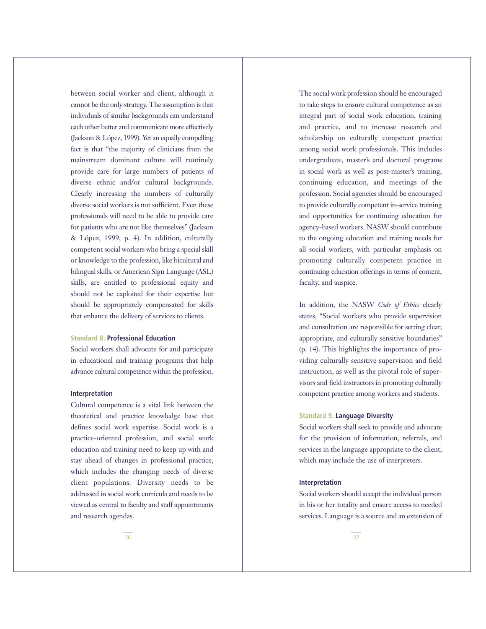between social worker and client, although it cannot be the only strategy. The assumption is that individuals of similar backgrounds can understand each other better and communicate more effectively (Jackson & López, 1999). Yet an equally compelling fact is that "the majority of clinicians from the mainstream dominant culture will routinely provide care for large numbers of patients of diverse ethnic and/or cultural backgrounds. Clearly increasing the numbers of culturally diverse social workers is not sufficient. Even these professionals will need to be able to provide care for patients who are not like themselves" (Jackson & López, 1999, p. 4). In addition, culturally competent social workers who bring a special skill or knowledge to the profession, like bicultural and bilingual skills, or American Sign Language (ASL) skills, are entitled to professional equity and should not be exploited for their expertise but should be appropriately compensated for skills that enhance the delivery of services to clients.

#### **Standard 8. Professional Education**

Social workers shall advocate for and participate in educational and training programs that help advance cultural competence within the profession.

#### **Interpretation**

Cultural competence is a vital link between the theoretical and practice knowledge base that defines social work expertise. Social work is a practice-oriented profession, and social work education and training need to keep up with and stay ahead of changes in professional practice, which includes the changing needs of diverse client populations. Diversity needs to be addressed in social work curricula and needs to be viewed as central to faculty and staff appointments and research agendas.

The social work profession should be encouraged to take steps to ensure cultural competence as an integral part of social work education, training and practice, and to increase research and scholarship on culturally competent practice among social work professionals. This includes undergraduate, master's and doctoral programs in social work as well as post-master's training, continuing education, and meetings of the profession. Social agencies should be encouraged to provide culturally competent in-service training and opportunities for continuing education for agency-based workers. NASW should contribute to the ongoing education and training needs for all social workers, with particular emphasis on promoting culturally competent practice in continuing education offerings in terms of content, faculty, and auspice.

In addition, the NASW *Code of Ethics* clearly states, "Social workers who provide supervision and consultation are responsible for setting clear, appropriate, and culturally sensitive boundaries" (p. 14). This highlights the importance of providing culturally sensitive supervision and field instruction, as well as the pivotal role of supervisors and field instructors in promoting culturally competent practice among workers and students.

#### **Standard 9. Language Diversity**

Social workers shall seek to provide and advocate for the provision of information, referrals, and services in the language appropriate to the client, which may include the use of interpreters.

#### **Interpretation**

Social workers should accept the individual person in his or her totality and ensure access to needed services. Language is a source and an extension of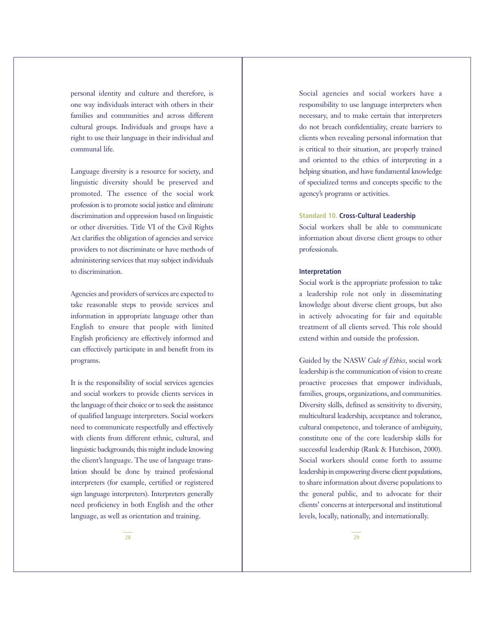personal identity and culture and therefore, is one way individuals interact with others in their families and communities and across different cultural groups. Individuals and groups have a right to use their language in their individual and communal life.

Language diversity is a resource for society, and linguistic diversity should be preserved and promoted. The essence of the social work profession is to promote social justice and eliminate discrimination and oppression based on linguistic or other diversities. Title VI of the Civil Rights Act clarifies the obligation of agencies and service providers to not discriminate or have methods of administering services that may subject individuals to discrimination.

Agencies and providers of services are expected to take reasonable steps to provide services and information in appropriate language other than English to ensure that people with limited English proficiency are effectively informed and can effectively participate in and benefit from its programs.

It is the responsibility of social services agencies and social workers to provide clients services in the language of their choice or to seek the assistance of qualified language interpreters. Social workers need to communicate respectfully and effectively with clients from different ethnic, cultural, and linguistic backgrounds; this might include knowing the client's language. The use of language translation should be done by trained professional interpreters (for example, certified or registered sign language interpreters). Interpreters generally need proficiency in both English and the other language, as well as orientation and training.

Social agencies and social workers have a responsibility to use language interpreters when necessary, and to make certain that interpreters do not breach confidentiality, create barriers to clients when revealing personal information that is critical to their situation, are properly trained and oriented to the ethics of interpreting in a helping situation, and have fundamental knowledge of specialized terms and concepts specific to the agency's programs or activities.

#### **Standard 10. Cross-Cultural Leadership**

Social workers shall be able to communicate information about diverse client groups to other professionals.

#### **Interpretation**

Social work is the appropriate profession to take a leadership role not only in disseminating knowledge about diverse client groups, but also in actively advocating for fair and equitable treatment of all clients served. This role should extend within and outside the profession.

Guided by the NASW *Code of Ethics*, social work leadership is the communication of vision to create proactive processes that empower individuals, families, groups, organizations, and communities. Diversity skills, defined as sensitivity to diversity, multicultural leadership, acceptance and tolerance, cultural competence, and tolerance of ambiguity, constitute one of the core leadership skills for successful leadership (Rank & Hutchison, 2000). Social workers should come forth to assume leadership in empowering diverse client populations, to share information about diverse populations to the general public, and to advocate for their clients' concerns at interpersonal and institutional levels, locally, nationally, and internationally.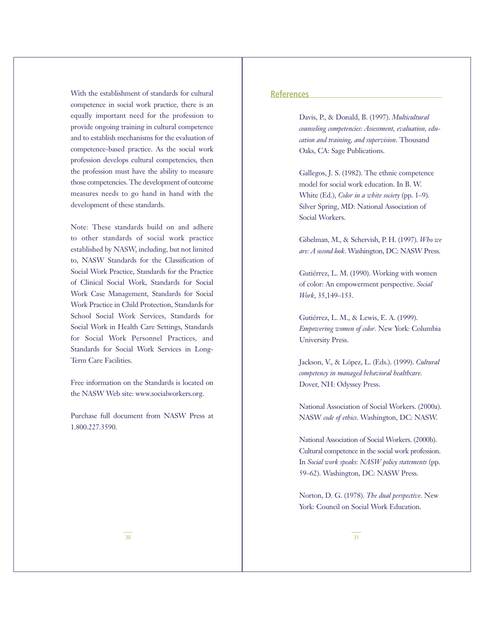With the establishment of standards for cultural competence in social work practice, there is an equally important need for the profession to provide ongoing training in cultural competence and to establish mechanisms for the evaluation of competence-based practice. As the social work profession develops cultural competencies, then the profession must have the ability to measure those competencies. The development of outcome measures needs to go hand in hand with the development of these standards.

Note: These standards build on and adhere to other standards of social work practice established by NASW, including, but not limited to, NASW Standards for the Classification of Social Work Practice, Standards for the Practice of Clinical Social Work, Standards for Social Work Case Management, Standards for Social Work Practice in Child Protection, Standards for School Social Work Services, Standards for Social Work in Health Care Settings, Standards for Social Work Personnel Practices, and Standards for Social Work Services in Long-Term Care Facilities.

Free information on the Standards is located on the NASW Web site: www.socialworkers.org.

Purchase full document from NASW Press at 1.800.227.3590.

#### **References**

Davis, P., & Donald, B. (1997). *Multicultural counseling competencies: Assessment, evaluation, education and training, and supervision*. Thousand Oaks, CA: Sage Publications.

Gallegos, J. S. (1982). The ethnic competence model for social work education. In B. W. White (Ed.), *Color in a white society* (pp. 1–9). Silver Spring, MD: National Association of Social Workers.

Gibelman, M., & Schervish, P. H. (1997). *Who we are: A second look*. Washington, DC: NASW Press.

Gutiérrez, L. M. (1990). Working with women of color: An empowerment perspective. *Social Work*, 35,149–153.

Gutiérrez, L. M., & Lewis, E. A. (1999). *Empowering women of color*. New York: Columbia University Press.

Jackson, V., & López, L. (Eds.). (1999). *Cultural competency in managed behavioral healthcare.* Dover, NH: Odyssey Press.

National Association of Social Workers. (2000a). NASW *code of ethics*. Washington, DC: NASW.

National Association of Social Workers. (2000b). Cultural competence in the social work profession. In *Social work speaks: NASW policy statements* (pp. 59–62). Washington, DC: NASW Press.

Norton, D. G. (1978). *The dual perspective.* New York: Council on Social Work Education.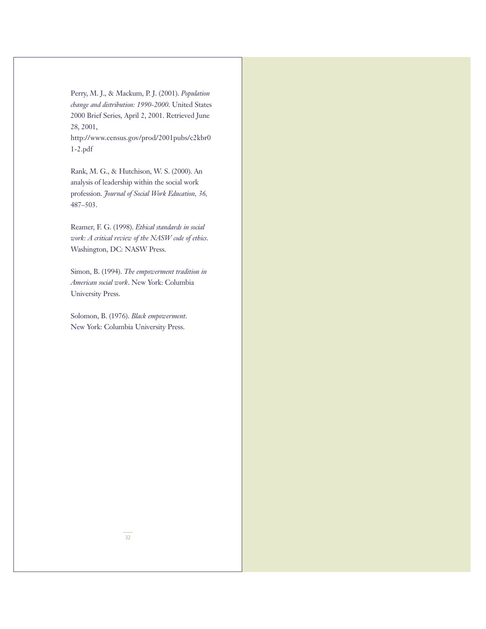Perry, M. J., & Mackum, P. J. (2001). *Population change and distribution: 1990-2000*. United States 2000 Brief Series, April 2, 2001. Retrieved June 28, 2001,

http://www.census.gov/prod/2001pubs/c2kbr0 1-2.pdf

Rank, M. G., & Hutchison, W. S. (2000). An analysis of leadership within the social work profession. *Journal of Social Work Education, 36,* 487–503.

Reamer, F. G. (1998). *Ethical standards in social work: A critical review of the NASW code of ethics*. Washington, DC: NASW Press.

Simon, B. (1994). *The empowerment tradition in American social work*. New York: Columbia University Press.

Solomon, B. (1976). *Black empowerment*. New York: Columbia University Press.